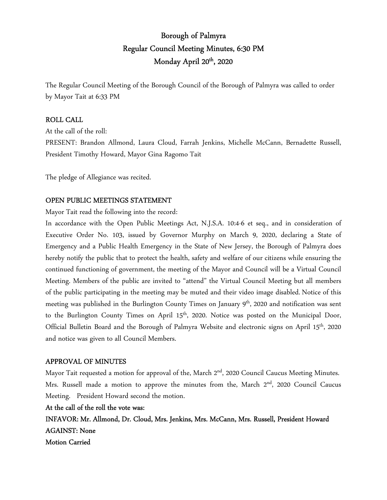# Borough of Palmyra Regular Council Meeting Minutes, 6:30 PM Monday April 20<sup>th</sup>, 2020

The Regular Council Meeting of the Borough Council of the Borough of Palmyra was called to order by Mayor Tait at 6:33 PM

### ROLL CALL

At the call of the roll: PRESENT: Brandon Allmond, Laura Cloud, Farrah Jenkins, Michelle McCann, Bernadette Russell, President Timothy Howard, Mayor Gina Ragomo Tait

The pledge of Allegiance was recited.

## OPEN PUBLIC MEETINGS STATEMENT

Mayor Tait read the following into the record:

In accordance with the Open Public Meetings Act, N.J.S.A. 10:4-6 et seq., and in consideration of Executive Order No. 103, issued by Governor Murphy on March 9, 2020, declaring a State of Emergency and a Public Health Emergency in the State of New Jersey, the Borough of Palmyra does hereby notify the public that to protect the health, safety and welfare of our citizens while ensuring the continued functioning of government, the meeting of the Mayor and Council will be a Virtual Council Meeting. Members of the public are invited to "attend" the Virtual Council Meeting but all members of the public participating in the meeting may be muted and their video image disabled. Notice of this meeting was published in the Burlington County Times on January 9<sup>th</sup>, 2020 and notification was sent to the Burlington County Times on April 15<sup>th</sup>, 2020. Notice was posted on the Municipal Door, Official Bulletin Board and the Borough of Palmyra Website and electronic signs on April 15th, 2020 and notice was given to all Council Members.

#### APPROVAL OF MINUTES

Mayor Tait requested a motion for approval of the, March 2<sup>nd</sup>, 2020 Council Caucus Meeting Minutes. Mrs. Russell made a motion to approve the minutes from the, March 2<sup>nd</sup>, 2020 Council Caucus Meeting. President Howard second the motion.

At the call of the roll the vote was:

INFAVOR: Mr. Allmond, Dr. Cloud, Mrs. Jenkins, Mrs. McCann, Mrs. Russell, President Howard AGAINST: None Motion Carried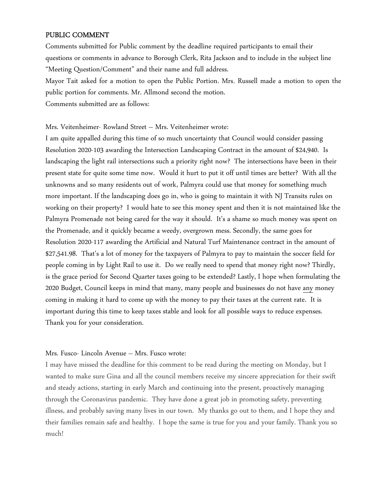#### PUBLIC COMMENT

Comments submitted for Public comment by the deadline required participants to email their questions or comments in advance to Borough Clerk, Rita Jackson and to include in the subject line "Meeting Question/Comment" and their name and full address.

Mayor Tait asked for a motion to open the Public Portion. Mrs. Russell made a motion to open the public portion for comments. Mr. Allmond second the motion.

Comments submitted are as follows:

Mrs. Veitenheimer- Rowland Street – Mrs. Veitenheimer wrote:

I am quite appalled during this time of so much uncertainty that Council would consider passing Resolution 2020-103 awarding the Intersection Landscaping Contract in the amount of \$24,940. Is landscaping the light rail intersections such a priority right now? The intersections have been in their present state for quite some time now. Would it hurt to put it off until times are better? With all the unknowns and so many residents out of work, Palmyra could use that money for something much more important. If the landscaping does go in, who is going to maintain it with NJ Transits rules on working on their property? I would hate to see this money spent and then it is not maintained like the Palmyra Promenade not being cared for the way it should. It's a shame so much money was spent on the Promenade, and it quickly became a weedy, overgrown mess. Secondly, the same goes for Resolution 2020-117 awarding the Artificial and Natural Turf Maintenance contract in the amount of \$27,541.98. That's a lot of money for the taxpayers of Palmyra to pay to maintain the soccer field for people coming in by Light Rail to use it. Do we really need to spend that money right now? Thirdly, is the grace period for Second Quarter taxes going to be extended? Lastly, I hope when formulating the 2020 Budget, Council keeps in mind that many, many people and businesses do not have any money coming in making it hard to come up with the money to pay their taxes at the current rate. It is important during this time to keep taxes stable and look for all possible ways to reduce expenses. Thank you for your consideration.

#### Mrs. Fusco- Lincoln Avenue – Mrs. Fusco wrote:

I may have missed the deadline for this comment to be read during the meeting on Monday, but I wanted to make sure Gina and all the council members receive my sincere appreciation for their swift and steady actions, starting in early March and continuing into the present, proactively managing through the Coronavirus pandemic. They have done a great job in promoting safety, preventing illness, and probably saving many lives in our town. My thanks go out to them, and I hope they and their families remain safe and healthy. I hope the same is true for you and your family. Thank you so much!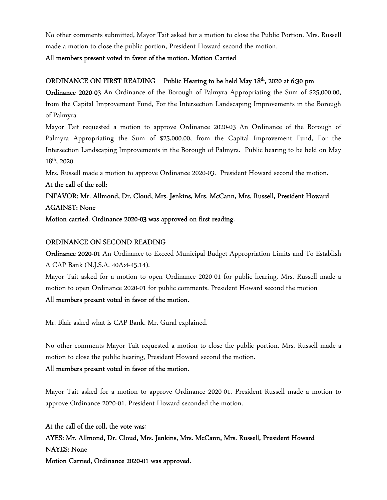No other comments submitted, Mayor Tait asked for a motion to close the Public Portion. Mrs. Russell made a motion to close the public portion, President Howard second the motion.

All members present voted in favor of the motion. Motion Carried

## ORDINANCE ON FIRST READING Public Hearing to be held May 18<sup>th</sup>, 2020 at 6:30 pm

Ordinance 2020-03 An Ordinance of the Borough of Palmyra Appropriating the Sum of \$25,000.00, from the Capital Improvement Fund, For the Intersection Landscaping Improvements in the Borough of Palmyra

Mayor Tait requested a motion to approve Ordinance 2020-03 An Ordinance of the Borough of Palmyra Appropriating the Sum of \$25,000.00, from the Capital Improvement Fund, For the Intersection Landscaping Improvements in the Borough of Palmyra. Public hearing to be held on May 18th, 2020.

Mrs. Russell made a motion to approve Ordinance 2020-03. President Howard second the motion.

At the call of the roll: INFAVOR: Mr. Allmond, Dr. Cloud, Mrs. Jenkins, Mrs. McCann, Mrs. Russell, President Howard AGAINST: None

Motion carried. Ordinance 2020-03 was approved on first reading.

## ORDINANCE ON SECOND READING

Ordinance 2020-01 An Ordinance to Exceed Municipal Budget Appropriation Limits and To Establish A CAP Bank (N.J.S.A. 40A:4-45.14).

Mayor Tait asked for a motion to open Ordinance 2020-01 for public hearing. Mrs. Russell made a motion to open Ordinance 2020-01 for public comments. President Howard second the motion

## All members present voted in favor of the motion.

Mr. Blair asked what is CAP Bank. Mr. Gural explained.

No other comments Mayor Tait requested a motion to close the public portion. Mrs. Russell made a motion to close the public hearing, President Howard second the motion.

## All members present voted in favor of the motion.

Mayor Tait asked for a motion to approve Ordinance 2020-01. President Russell made a motion to approve Ordinance 2020-01. President Howard seconded the motion.

At the call of the roll, the vote was: AYES: Mr. Allmond, Dr. Cloud, Mrs. Jenkins, Mrs. McCann, Mrs. Russell, President Howard NAYES: None Motion Carried, Ordinance 2020-01 was approved.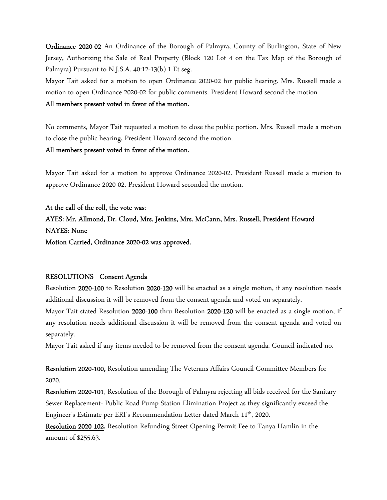Ordinance 2020-02 An Ordinance of the Borough of Palmyra, County of Burlington, State of New Jersey, Authorizing the Sale of Real Property (Block 120 Lot 4 on the Tax Map of the Borough of Palmyra) Pursuant to N.J.S.A. 40:12-13(b) 1 Et seg.

Mayor Tait asked for a motion to open Ordinance 2020-02 for public hearing. Mrs. Russell made a motion to open Ordinance 2020-02 for public comments. President Howard second the motion All members present voted in favor of the motion.

No comments, Mayor Tait requested a motion to close the public portion. Mrs. Russell made a motion to close the public hearing, President Howard second the motion.

#### All members present voted in favor of the motion.

Mayor Tait asked for a motion to approve Ordinance 2020-02. President Russell made a motion to approve Ordinance 2020-02. President Howard seconded the motion.

At the call of the roll, the vote was: AYES: Mr. Allmond, Dr. Cloud, Mrs. Jenkins, Mrs. McCann, Mrs. Russell, President Howard NAYES: None Motion Carried, Ordinance 2020-02 was approved.

#### RESOLUTIONS Consent Agenda

Resolution 2020-100 to Resolution 2020-120 will be enacted as a single motion, if any resolution needs additional discussion it will be removed from the consent agenda and voted on separately.

Mayor Tait stated Resolution 2020-100 thru Resolution 2020-120 will be enacted as a single motion, if any resolution needs additional discussion it will be removed from the consent agenda and voted on separately.

Mayor Tait asked if any items needed to be removed from the consent agenda. Council indicated no.

Resolution 2020-100, Resolution amending The Veterans Affairs Council Committee Members for 2020.

Resolution 2020-101, Resolution of the Borough of Palmyra rejecting all bids received for the Sanitary Sewer Replacement- Public Road Pump Station Elimination Project as they significantly exceed the Engineer's Estimate per ERI's Recommendation Letter dated March 11<sup>th</sup>, 2020.

Resolution 2020-102, Resolution Refunding Street Opening Permit Fee to Tanya Hamlin in the amount of \$255.63.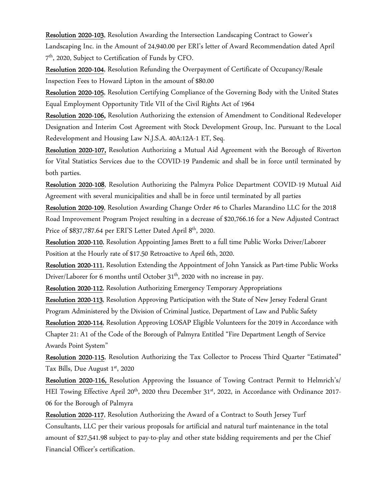Resolution 2020-103, Resolution Awarding the Intersection Landscaping Contract to Gower's Landscaping Inc. in the Amount of 24,940.00 per ERI's letter of Award Recommendation dated April 7 th, 2020, Subject to Certification of Funds by CFO.

Resolution 2020-104, Resolution Refunding the Overpayment of Certificate of Occupancy/Resale Inspection Fees to Howard Lipton in the amount of \$80.00

Resolution 2020-105, Resolution Certifying Compliance of the Governing Body with the United States Equal Employment Opportunity Title VII of the Civil Rights Act of 1964

Resolution 2020-106, Resolution Authorizing the extension of Amendment to Conditional Redeveloper Designation and Interim Cost Agreement with Stock Development Group, Inc. Pursuant to the Local Redevelopment and Housing Law N.J.S.A. 40A:12A-1 ET, Seq.

Resolution 2020-107, Resolution Authorizing a Mutual Aid Agreement with the Borough of Riverton for Vital Statistics Services due to the COVID-19 Pandemic and shall be in force until terminated by both parties.

Resolution 2020-108, Resolution Authorizing the Palmyra Police Department COVID-19 Mutual Aid Agreement with several municipalities and shall be in force until terminated by all parties

Resolution 2020-109, Resolution Awarding Change Order #6 to Charles Marandino LLC for the 2018 Road Improvement Program Project resulting in a decrease of \$20,766.16 for a New Adjusted Contract Price of \$837,787.64 per ERI'S Letter Dated April 8<sup>th</sup>, 2020.

Resolution 2020-110, Resolution Appointing James Brett to a full time Public Works Driver/Laborer Position at the Hourly rate of \$17.50 Retroactive to April 6th, 2020.

Resolution 2020-111, Resolution Extending the Appointment of John Yansick as Part-time Public Works Driver/Laborer for 6 months until October 31<sup>th</sup>, 2020 with no increase in pay.

Resolution 2020-112, Resolution Authorizing Emergency Temporary Appropriations

Resolution 2020-113, Resolution Approving Participation with the State of New Jersey Federal Grant Program Administered by the Division of Criminal Justice, Department of Law and Public Safety

Resolution 2020-114, Resolution Approving LOSAP Eligible Volunteers for the 2019 in Accordance with Chapter 21: A1 of the Code of the Borough of Palmyra Entitled "Fire Department Length of Service Awards Point System"

Resolution 2020-115, Resolution Authorizing the Tax Collector to Process Third Quarter "Estimated" Tax Bills, Due August 1st, 2020

Resolution 2020-116, Resolution Approving the Issuance of Towing Contract Permit to Helmrich's/ HEI Towing Effective April 20<sup>th</sup>, 2020 thru December 31<sup>st</sup>, 2022, in Accordance with Ordinance 2017-06 for the Borough of Palmyra

Resolution 2020-117, Resolution Authorizing the Award of a Contract to South Jersey Turf Consultants, LLC per their various proposals for artificial and natural turf maintenance in the total amount of \$27,541.98 subject to pay-to-play and other state bidding requirements and per the Chief Financial Officer's certification.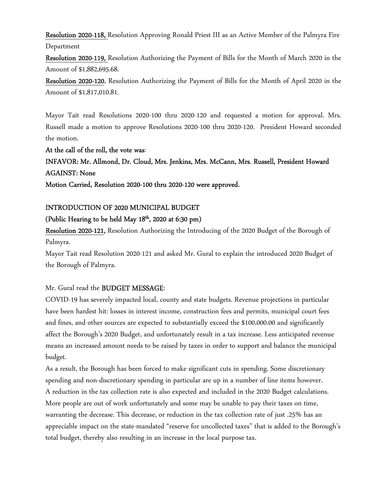Resolution 2020-118, Resolution Approving Ronald Priest III as an Active Member of the Palmyra Fire Department

Resolution 2020-119, Resolution Authorizing the Payment of Bills for the Month of March 2020 in the Amount of \$1,882,695.68.

Resolution 2020-120, Resolution Authorizing the Payment of Bills for the Month of April 2020 in the Amount of \$1,817,010.81.

Mayor Tait read Resolutions 2020-100 thru 2020-120 and requested a motion for approval. Mrs. Russell made a motion to approve Resolutions 2020-100 thru 2020-120. President Howard seconded the motion.

#### At the call of the roll, the vote was:

INFAVOR: Mr. Allmond, Dr. Cloud, Mrs. Jenkins, Mrs. McCann, Mrs. Russell, President Howard AGAINST: None

Motion Carried, Resolution 2020-100 thru 2020-120 were approved.

#### INTRODUCTION OF 2020 MUNICIPAL BUDGET

### (Public Hearing to be held May 18<sup>th</sup>, 2020 at 6:30 pm)

Resolution 2020-121, Resolution Authorizing the Introducing of the 2020 Budget of the Borough of Palmyra.

Mayor Tait read Resolution 2020-121 and asked Mr. Gural to explain the introduced 2020 Budget of the Borough of Palmyra.

#### Mr. Gural read the BUDGET MESSAGE:

COVID-19 has severely impacted local, county and state budgets. Revenue projections in particular have been hardest hit: losses in interest income, construction fees and permits, municipal court fees and fines, and other sources are expected to substantially exceed the \$100,000.00 and significantly affect the Borough's 2020 Budget, and unfortunately result in a tax increase. Less anticipated revenue means an increased amount needs to be raised by taxes in order to support and balance the municipal budget.

As a result, the Borough has been forced to make significant cuts in spending. Some discretionary spending and non-discretionary spending in particular are up in a number of line items however. A reduction in the tax collection rate is also expected and included in the 2020 Budget calculations. More people are out of work unfortunately and some may be unable to pay their taxes on time, warranting the decrease. This decrease, or reduction in the tax collection rate of just .25% has an appreciable impact on the state-mandated "reserve for uncollected taxes" that is added to the Borough's total budget, thereby also resulting in an increase in the local purpose tax.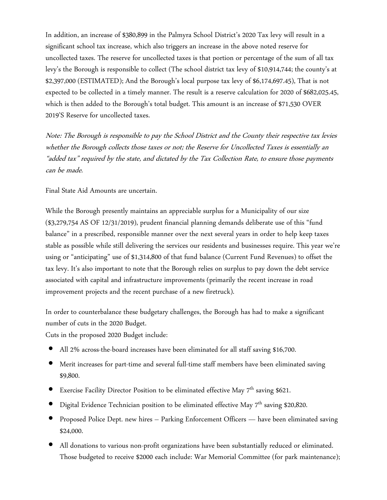In addition, an increase of \$380,899 in the Palmyra School District's 2020 Tax levy will result in a significant school tax increase, which also triggers an increase in the above noted reserve for uncollected taxes. The reserve for uncollected taxes is that portion or percentage of the sum of all tax levy's the Borough is responsible to collect (The school district tax levy of \$10,914,744; the county's at \$2,397,000 (ESTIMATED); And the Borough's local purpose tax levy of \$6,174,697.45), That is not expected to be collected in a timely manner. The result is a reserve calculation for 2020 of \$682,025.45, which is then added to the Borough's total budget. This amount is an increase of \$71,530 OVER 2019'S Reserve for uncollected taxes.

Note: The Borough is responsible to pay the School District and the County their respective tax levies whether the Borough collects those taxes or not; the Reserve for Uncollected Taxes is essentially an "added tax" required by the state, and dictated by the Tax Collection Rate, to ensure those payments can be made.

Final State Aid Amounts are uncertain.

While the Borough presently maintains an appreciable surplus for a Municipality of our size (\$3,279,754 AS OF 12/31/2019), prudent financial planning demands deliberate use of this "fund balance" in a prescribed, responsible manner over the next several years in order to help keep taxes stable as possible while still delivering the services our residents and businesses require. This year we're using or "anticipating" use of \$1,314,800 of that fund balance (Current Fund Revenues) to offset the tax levy. It's also important to note that the Borough relies on surplus to pay down the debt service associated with capital and infrastructure improvements (primarily the recent increase in road improvement projects and the recent purchase of a new firetruck).

In order to counterbalance these budgetary challenges, the Borough has had to make a significant number of cuts in the 2020 Budget.

Cuts in the proposed 2020 Budget include:

- All 2% across-the-board increases have been eliminated for all staff saving \$16,700.
- Merit increases for part-time and several full-time staff members have been eliminated saving \$9,800.
- Exercise Facility Director Position to be eliminated effective May 7<sup>th</sup> saving \$621.
- Digital Evidence Technician position to be eliminated effective May 7th saving \$20,820.
- Proposed Police Dept. new hires Parking Enforcement Officers have been eliminated saving \$24,000.
- All donations to various non-profit organizations have been substantially reduced or eliminated. Those budgeted to receive \$2000 each include: War Memorial Committee (for park maintenance);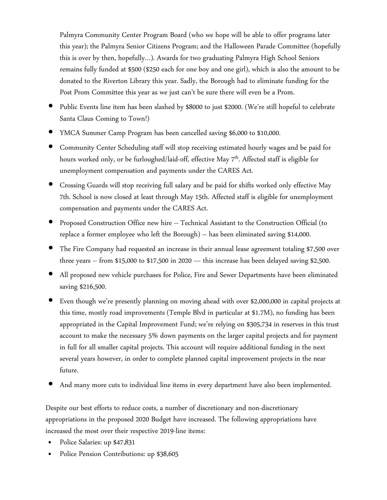Palmyra Community Center Program Board (who we hope will be able to offer programs later this year); the Palmyra Senior Citizens Program; and the Halloween Parade Committee (hopefully this is over by then, hopefully…). Awards for two graduating Palmyra High School Seniors remains fully funded at \$500 (\$250 each for one boy and one girl), which is also the amount to be donated to the Riverton Library this year. Sadly, the Borough had to eliminate funding for the Post Prom Committee this year as we just can't be sure there will even be a Prom.

- Public Events line item has been slashed by \$8000 to just \$2000. (We're still hopeful to celebrate Santa Claus Coming to Town!)
- YMCA Summer Camp Program has been cancelled saving \$6,000 to \$10,000.
- Community Center Scheduling staff will stop receiving estimated hourly wages and be paid for hours worked only, or be furloughed/laid-off, effective May 7<sup>th</sup>. Affected staff is eligible for unemployment compensation and payments under the CARES Act.
- Crossing Guards will stop receiving full salary and be paid for shifts worked only effective May 7th. School is now closed at least through May 15th. Affected staff is eligible for unemployment compensation and payments under the CARES Act.
- Proposed Construction Office new hire Technical Assistant to the Construction Official (to replace a former employee who left the Borough) – has been eliminated saving \$14,000.
- The Fire Company had requested an increase in their annual lease agreement totaling \$7,500 over three years – from \$15,000 to \$17,500 in 2020 — this increase has been delayed saving \$2,500.
- All proposed new vehicle purchases for Police, Fire and Sewer Departments have been eliminated saving \$216,500.
- Even though we're presently planning on moving ahead with over \$2,000,000 in capital projects at this time, mostly road improvements (Temple Blvd in particular at \$1.7M), no funding has been appropriated in the Capital Improvement Fund; we're relying on \$305,734 in reserves in this trust account to make the necessary 5% down payments on the larger capital projects and for payment in full for all smaller capital projects. This account will require additional funding in the next several years however, in order to complete planned capital improvement projects in the near future.
- And many more cuts to individual line items in every department have also been implemented.

Despite our best efforts to reduce costs, a number of discretionary and non-discretionary appropriations in the proposed 2020 Budget have increased. The following appropriations have increased the most over their respective 2019-line items:

- Police Salaries: up \$47,831
- Police Pension Contributions: up \$38,605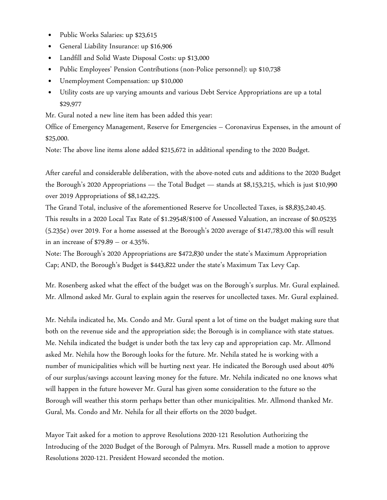- Public Works Salaries: up \$23,615
- General Liability Insurance: up \$16,906
- Landfill and Solid Waste Disposal Costs: up \$13,000
- Public Employees' Pension Contributions (non-Police personnel): up \$10,738
- Unemployment Compensation: up \$10,000
- Utility costs are up varying amounts and various Debt Service Appropriations are up a total \$29,977

Mr. Gural noted a new line item has been added this year:

Office of Emergency Management, Reserve for Emergencies – Coronavirus Expenses, in the amount of \$25,000.

Note: The above line items alone added \$215,672 in additional spending to the 2020 Budget.

After careful and considerable deliberation, with the above-noted cuts and additions to the 2020 Budget the Borough's 2020 Appropriations — the Total Budget — stands at \$8,153,215, which is just \$10,990 over 2019 Appropriations of \$8,142,225.

The Grand Total, inclusive of the aforementioned Reserve for Uncollected Taxes, is \$8,835,240.45. This results in a 2020 Local Tax Rate of \$1.29548/\$100 of Assessed Valuation, an increase of \$0.05235 (5.235¢) over 2019. For a home assessed at the Borough's 2020 average of \$147,783.00 this will result in an increase of \$79.89 – or 4.35%.

Note: The Borough's 2020 Appropriations are \$472,830 under the state's Maximum Appropriation Cap; AND, the Borough's Budget is \$443,822 under the state's Maximum Tax Levy Cap.

Mr. Rosenberg asked what the effect of the budget was on the Borough's surplus. Mr. Gural explained. Mr. Allmond asked Mr. Gural to explain again the reserves for uncollected taxes. Mr. Gural explained.

Mr. Nehila indicated he, Ms. Condo and Mr. Gural spent a lot of time on the budget making sure that both on the revenue side and the appropriation side; the Borough is in compliance with state statues. Me. Nehila indicated the budget is under both the tax levy cap and appropriation cap. Mr. Allmond asked Mr. Nehila how the Borough looks for the future. Mr. Nehila stated he is working with a number of municipalities which will be hurting next year. He indicated the Borough used about 40% of our surplus/savings account leaving money for the future. Mr. Nehila indicated no one knows what will happen in the future however Mr. Gural has given some consideration to the future so the Borough will weather this storm perhaps better than other municipalities. Mr. Allmond thanked Mr. Gural, Ms. Condo and Mr. Nehila for all their efforts on the 2020 budget.

Mayor Tait asked for a motion to approve Resolutions 2020-121 Resolution Authorizing the Introducing of the 2020 Budget of the Borough of Palmyra. Mrs. Russell made a motion to approve Resolutions 2020-121.President Howard seconded the motion.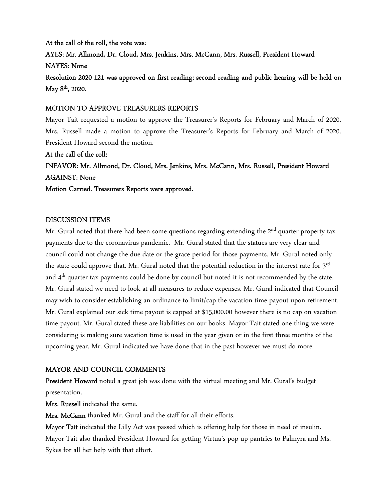At the call of the roll, the vote was: AYES: Mr. Allmond, Dr. Cloud, Mrs. Jenkins, Mrs. McCann, Mrs. Russell, President Howard NAYES: None Resolution 2020-121 was approved on first reading; second reading and public hearing will be held on May  $8<sup>th</sup>$ , 2020.

#### MOTION TO APPROVE TREASURERS REPORTS

Mayor Tait requested a motion to approve the Treasurer's Reports for February and March of 2020. Mrs. Russell made a motion to approve the Treasurer's Reports for February and March of 2020. President Howard second the motion.

At the call of the roll: INFAVOR: Mr. Allmond, Dr. Cloud, Mrs. Jenkins, Mrs. McCann, Mrs. Russell, President Howard AGAINST: None Motion Carried. Treasurers Reports were approved.

#### DISCUSSION ITEMS

Mr. Gural noted that there had been some questions regarding extending the  $2<sup>nd</sup>$  quarter property tax payments due to the coronavirus pandemic. Mr. Gural stated that the statues are very clear and council could not change the due date or the grace period for those payments. Mr. Gural noted only the state could approve that. Mr. Gural noted that the potential reduction in the interest rate for 3rd and 4<sup>th</sup> quarter tax payments could be done by council but noted it is not recommended by the state. Mr. Gural stated we need to look at all measures to reduce expenses. Mr. Gural indicated that Council may wish to consider establishing an ordinance to limit/cap the vacation time payout upon retirement. Mr. Gural explained our sick time payout is capped at \$15,000.00 however there is no cap on vacation time payout. Mr. Gural stated these are liabilities on our books. Mayor Tait stated one thing we were considering is making sure vacation time is used in the year given or in the first three months of the upcoming year. Mr. Gural indicated we have done that in the past however we must do more.

#### MAYOR AND COUNCIL COMMENTS

President Howard noted a great job was done with the virtual meeting and Mr. Gural's budget presentation.

Mrs. Russell indicated the same.

Mrs. McCann thanked Mr. Gural and the staff for all their efforts.

Mayor Tait indicated the Lilly Act was passed which is offering help for those in need of insulin. Mayor Tait also thanked President Howard for getting Virtua's pop-up pantries to Palmyra and Ms. Sykes for all her help with that effort.